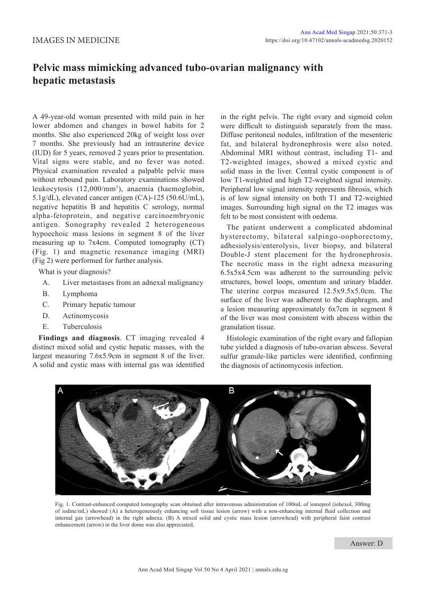## **Pelvic mass mimicking advanced tubo-ovarian malignancy with hepatic metastasis**

A 49-year-old woman presented with mild pain in her lower abdomen and changes in bowel habits for 2 months. She also experienced 20kg of weight loss over 7 months. She previously had an intrauterine device (IUD) for 5 years, removed 2 years prior to presentation. Vital signs were stable, and no fever was noted. Physical examination revealed a palpable pelvic mass without rebound pain. Laboratory examinations showed leukocytosis (12,000/mm3 ), anaemia (haemoglobin, 5.1g/dL), elevated cancer antigen (CA)-125 (50.6U/mL), negative hepatitis B and hepatitis C serology, normal alpha-fetoprotein, and negative carcinoembryonic antigen. Sonography revealed 2 heterogeneous hypoechoic mass lesions in segment 8 of the liver measuring up to 7x4cm. Computed tomography (CT) (Fig. 1) and magnetic resonance imaging (MRI) (Fig 2) were performed for further analysis.

What is your diagnosis?

- A. Liver metastases from an adnexal malignancy
- B. Lymphoma
- C. Primary hepatic tumour
- D. Actinomycosis
- E. Tuberculosis

**Findings and diagnosis**. CT imaging revealed 4 distinct mixed solid and cystic hepatic masses, with the largest measuring 7.6x5.9cm in segment 8 of the liver. A solid and cystic mass with internal gas was identified

in the right pelvis. The right ovary and sigmoid colon were difficult to distinguish separately from the mass. Diffuse peritoneal nodules, infiltration of the mesenteric fat, and bilateral hydronephrosis were also noted. Abdominal MRI without contrast, including T1- and T2-weighted images, showed a mixed cystic and solid mass in the liver. Central cystic component is of low T1-weighted and high T2-weighted signal intensity. Peripheral low signal intensity represents fibrosis, which is of low signal intensity on both T1 and T2-weighted images. Surrounding high signal on the T2 images was felt to be most consistent with oedema.

The patient underwent a complicated abdominal hysterectomy, bilateral salpingo-oophorectomy, adhesiolysis/enterolysis, liver biopsy, and bilateral Double-J stent placement for the hydronephrosis. The necrotic mass in the right adnexa measuring 6.5x5x4.5cm was adherent to the surrounding pelvic structures, bowel loops, omentum and urinary bladder. The uterine corpus measured 12.5x9.5x5.0cm. The surface of the liver was adherent to the diaphragm, and a lesion measuring approximately 6x7cm in segment 8 of the liver was most consistent with abscess within the granulation tissue.

Histologic examination of the right ovary and fallopian tube yielded a diagnosis of tubo-ovarian abscess. Several sulfur granule-like particles were identified, confirming the diagnosis of actinomycosis infection.



Fig. 1. Contrast-enhanced computed tomography scan obtained after intravenous administration of 100mL of iomeprol (iohexol, 300mg of iodine/mL) showed (A) a heterogeneously enhancing soft tissue lesion (arrow) with a non-enhancing internal fluid collection and internal gas (arrowhead) in the right adnexa. (B) A mixed solid and cystic mass lesion (arrowhead) with peripheral faint contrast enhancement (arrow) in the liver dome was also appreciated.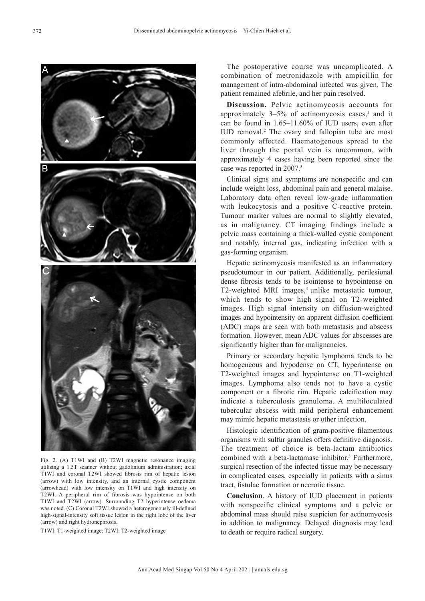The postoperative course was uncomplicated. A combination of metronidazole with ampicillin for management of intra-abdominal infected was given. The patient remained afebrile, and her pain resolved.

**Discussion.** Pelvic actinomycosis accounts for approximately  $3-5%$  of actinomycosis cases,<sup>1</sup> and it can be found in 1.65–11.60% of IUD users, even after IUD removal.<sup>2</sup> The ovary and fallopian tube are most commonly affected. Haematogenous spread to the liver through the portal vein is uncommon, with approximately 4 cases having been reported since the case was reported in 2007.3

Clinical signs and symptoms are nonspecific and can include weight loss, abdominal pain and general malaise. Laboratory data often reveal low-grade inflammation with leukocytosis and a positive C-reactive protein. Tumour marker values are normal to slightly elevated, as in malignancy. CT imaging findings include a pelvic mass containing a thick-walled cystic component and notably, internal gas, indicating infection with a gas-forming organism.

Hepatic actinomycosis manifested as an inflammatory pseudotumour in our patient. Additionally, perilesional dense fibrosis tends to be isointense to hypointense on T2-weighted MRI images,<sup>4</sup> unlike metastatic tumour, which tends to show high signal on T2-weighted images. High signal intensity on diffusion-weighted images and hypointensity on apparent diffusion coefficient (ADC) maps are seen with both metastasis and abscess formation. However, mean ADC values for abscesses are significantly higher than for malignancies.

Primary or secondary hepatic lymphoma tends to be homogeneous and hypodense on CT, hyperintense on T2-weighted images and hypointense on T1-weighted images. Lymphoma also tends not to have a cystic component or a fibrotic rim. Hepatic calcification may indicate a tuberculosis granuloma. A multiloculated tubercular abscess with mild peripheral enhancement may mimic hepatic metastasis or other infection.

Histologic identification of gram-positive filamentous organisms with sulfur granules offers definitive diagnosis. The treatment of choice is beta-lactam antibiotics combined with a beta-lactamase inhibitor.<sup>5</sup> Furthermore, surgical resection of the infected tissue may be necessary in complicated cases, especially in patients with a sinus tract, fistulae formation or necrotic tissue.

**Conclusion**. A history of IUD placement in patients with nonspecific clinical symptoms and a pelvic or abdominal mass should raise suspicion for actinomycosis in addition to malignancy. Delayed diagnosis may lead to death or require radical surgery.

Fig. 2. (A) T1WI and (B) T2WI magnetic resonance imaging utilising a 1.5T scanner without gadolinium administration; axial T1WI and coronal T2WI showed fibrosis rim of hepatic lesion (arrow) with low intensity, and an internal cystic component (arrowhead) with low intensity on T1WI and high intensity on T2WI. A peripheral rim of fibrosis was hypointense on both T1WI and T2WI (arrow). Surrounding T2 hyperintense oedema was noted. (C) Coronal T2WI showed a heterogeneously ill-defined high-signal-intensity soft tissue lesion in the right lobe of the liver (arrow) and right hydronephrosis.

T1WI: T1-weighted image; T2WI: T2-weighted image